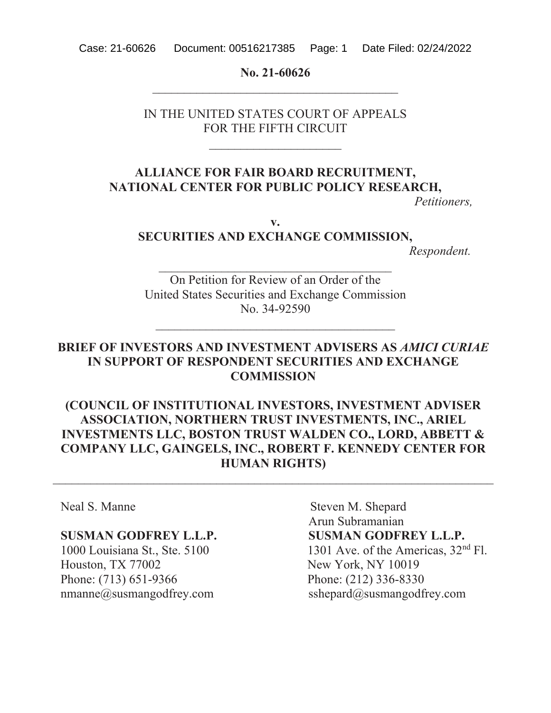Case: 21-60626 Document: 00516217385 Page: 1 Date Filed: 02/24/2022

No. 21-60626 BBBBBBBBBBBBBBBBBBBBBBBBBBBBBBBBBBBBBBB

IN THE UNITED STATES COURT OF APPEALS FOR THE FIFTH CIRCUIT

### **ALLIANCE FOR FAIR BOARD RECRUITMENT, NATIONAL CENTER FOR PUBLIC POLICY RESEARCH,**

*Petitioners,*

**Y**

# **SECURITIES AND EXCHANGE COMMISSION,**

*Respondent.*

On Petition for Review of an Order of the United States Securities and Exchange Commission No. 34-92590

BBBBBBBBBBBBBBBBBBBBBBBBBBBBBBBBBBBBBB

BBBBBBBBBBBBBBBBBBBBBBBBBBBBBBBBBBBBB

### **BRIEF OF INVESTORS AND INVESTMENT ADVISERS AS** *AMICI CURIAE* **IN SUPPORT OF RESPONDENT SECURITIES AND EXCHANGE COMMISSION**

### **(COUNCIL OF INSTITUTIONAL INVESTORS, INVESTMENT ADVISER) ASSOCIATION, NORTHERN TRUST INVESTMENTS, INC., ARIEL INVESTMENTS LLC, BOSTON TRUST WALDEN CO., LORD, ABBETT & COMPANY LLC, GAINGELS, INC., ROBERT F. KENNEDY CENTER FOR HUMAN RIGHTS)**

Houston, TX 77002 New York, NY 10019 Phone: (713) 651-9366 Phone: (212) 336-8330

1999 Neal S. Manne Steven M. Shepard Arun Subramanian **6860 SUSMAN GODFREY L.L.P.** SUSMAN GODFREY L.L.P. 1000 Louisiana St., Ste. 5100  $1301$  Ave. of the Americas,  $32<sup>nd</sup>$  Fl. nmanne@susmangodfrey.com sshepard@susmangodfrey.com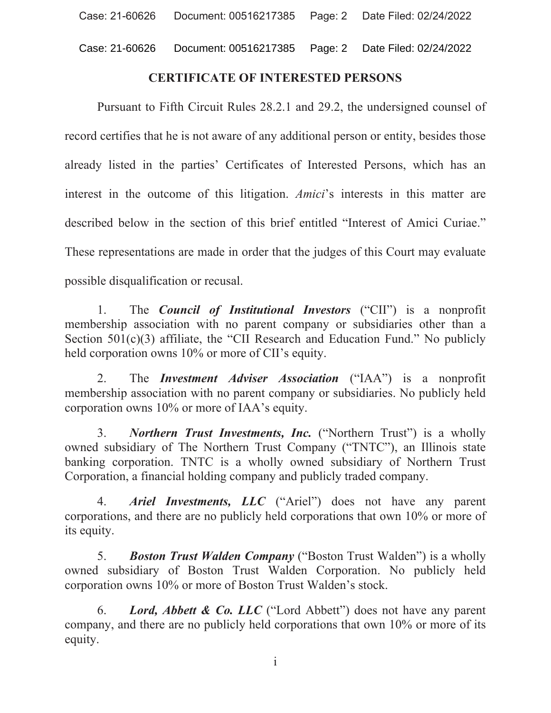### **CERTIFICATE OF INTERESTED PERSONS**

Pursuant to Fifth Circuit Rules 28.2.1 and 29.2, the undersigned counsel of record certifies that he is not aware of any additional person or entity, besides those already listed in the parties' Certificates of Interested Persons, which has an interest in the outcome of this litigation. Amici's interests in this matter are described below in the section of this brief entitled "Interest of Amici Curiae." These representations are made in order that the judges of this Court may evaluate possible disqualification or recusal.

The *Council of Institutional Investors* ("CII") is a nonprofit  $1_{\cdot}$ membership association with no parent company or subsidiaries other than a Section  $501(c)(3)$  affiliate, the "CII Research and Education Fund." No publicly held corporation owns 10% or more of CII's equity.

The *Investment Adviser Association* ("IAA") is a nonprofit 2. membership association with no parent company or subsidiaries. No publicly held corporation owns 10% or more of IAA's equity.

**Northern Trust Investments, Inc.** ("Northern Trust") is a wholly  $\mathfrak{Z}$ . owned subsidiary of The Northern Trust Company ("TNTC"), an Illinois state banking corporation. TNTC is a wholly owned subsidiary of Northern Trust Corporation, a financial holding company and publicly traded company.

Ariel Investments, LLC ("Ariel") does not have any parent 4. corporations, and there are no publicly held corporations that own 10% or more of its equity.

 $5.$ **Boston Trust Walden Company** ("Boston Trust Walden") is a wholly owned subsidiary of Boston Trust Walden Corporation. No publicly held corporation owns 10% or more of Boston Trust Walden's stock.

Lord, Abbett & Co. LLC ("Lord Abbett") does not have any parent 6. company, and there are no publicly held corporations that own 10% or more of its equity.

 $\mathbf{i}$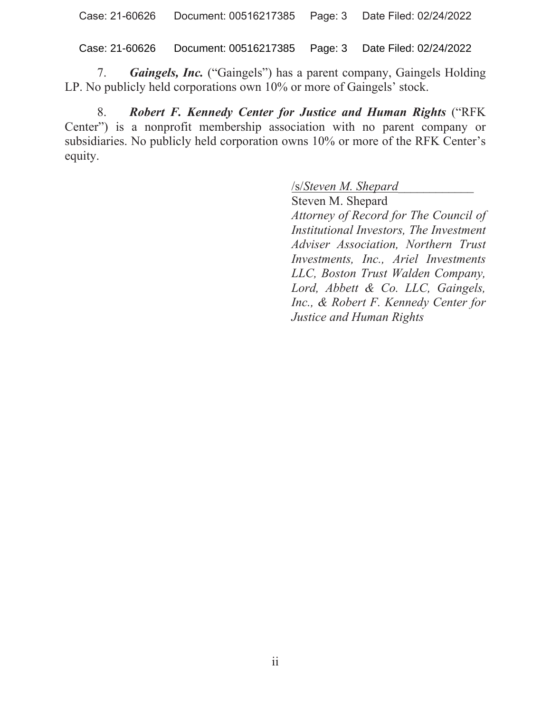Case: 21-60626 Document: 00516217385 Page: 3 Date Filed: 02/24/2022

7. **Gaingels, Inc.** ("Gaingels") has a parent company, Gaingels Holding LP. No publicly held corporations own 10% or more of Gaingels' stock.

8. Robert F. Kennedy Center for Justice and Human Rights ("RFK" Center") is a nonprofit membership association with no parent company or subsidiaries. No publicly held corporation owns 10% or more of the RFK Center's equity.

V*Steven M. Shepard\_\_\_\_\_\_\_\_\_\_\_\_*

Steven M. Shepard *Attorney of Record for The Council of Institutional Investors, The Investment Adviser Association, Northern Trust Investments, Inc., Ariel Investments LLC, Boston Trust Walden Company, Lord, Abbett & Co. LLC, Gaingels, Inc., & Robert F. Kennedy Center for Justice and Human Rights*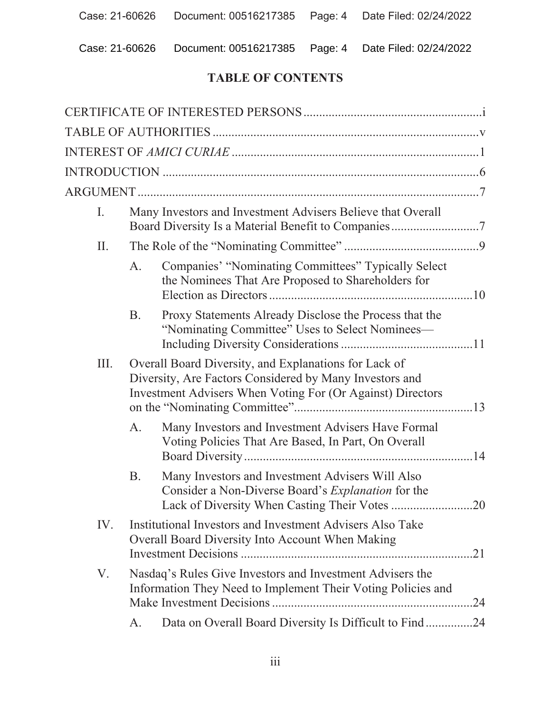### **TABLE OF CONTENTS**

| I.   |           | Many Investors and Investment Advisers Believe that Overall<br>Board Diversity Is a Material Benefit to Companies7                                                             |
|------|-----------|--------------------------------------------------------------------------------------------------------------------------------------------------------------------------------|
| II.  |           |                                                                                                                                                                                |
|      | A.        | Companies' "Nominating Committees" Typically Select<br>the Nominees That Are Proposed to Shareholders for                                                                      |
|      | <b>B.</b> | Proxy Statements Already Disclose the Process that the<br>"Nominating Committee" Uses to Select Nominees-                                                                      |
| III. |           | Overall Board Diversity, and Explanations for Lack of<br>Diversity, Are Factors Considered by Many Investors and<br>Investment Advisers When Voting For (Or Against) Directors |
|      | A.        | Many Investors and Investment Advisers Have Formal<br>Voting Policies That Are Based, In Part, On Overall                                                                      |
|      | Β.        | Many Investors and Investment Advisers Will Also<br>Consider a Non-Diverse Board's Explanation for the                                                                         |
| IV.  |           | Institutional Investors and Investment Advisers Also Take<br>Overall Board Diversity Into Account When Making                                                                  |
| V.   |           | Nasdaq's Rules Give Investors and Investment Advisers the<br>Information They Need to Implement Their Voting Policies and                                                      |
|      | A.        | Data on Overall Board Diversity Is Difficult to Find24                                                                                                                         |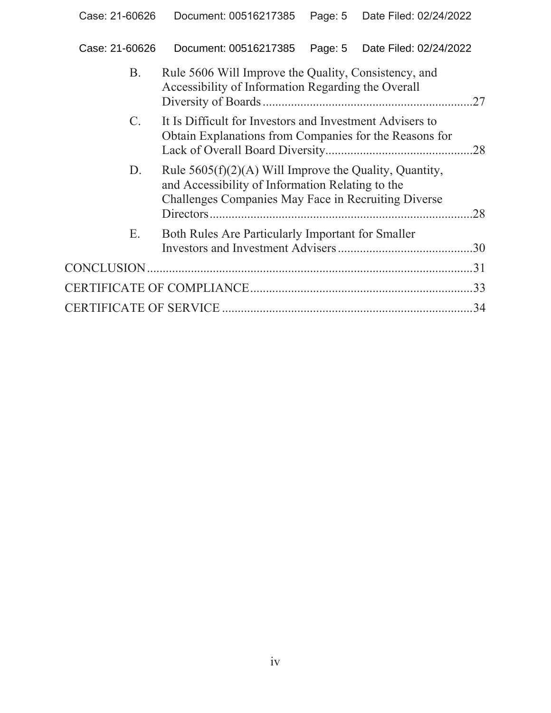| Case: 21-60626  Document: 00516217385  Page: 5  Date Filed: 02/24/2022 |  |
|------------------------------------------------------------------------|--|
|                                                                        |  |

| Β.          | Rule 5606 Will Improve the Quality, Consistency, and     |     |
|-------------|----------------------------------------------------------|-----|
|             | Accessibility of Information Regarding the Overall       |     |
|             |                                                          |     |
| $C_{\cdot}$ | It Is Difficult for Investors and Investment Advisers to |     |
|             | Obtain Explanations from Companies for the Reasons for   |     |
|             |                                                          |     |
| D.          | Rule $5605(f)(2)(A)$ Will Improve the Quality, Quantity, |     |
|             | and Accessibility of Information Relating to the         |     |
|             | Challenges Companies May Face in Recruiting Diverse      |     |
|             |                                                          | .28 |
| Ε.          | Both Rules Are Particularly Important for Smaller        |     |
|             |                                                          |     |
|             |                                                          |     |
|             |                                                          |     |
|             |                                                          |     |
|             |                                                          | 34  |
|             |                                                          |     |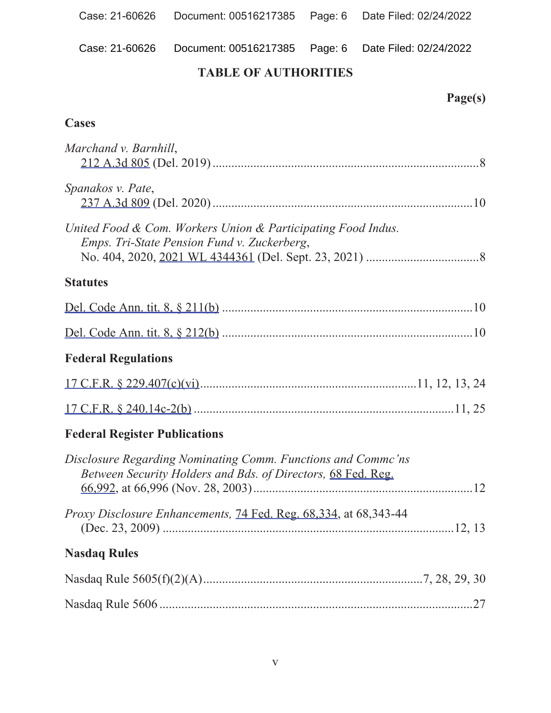Case: 21-60626 Document: 00516217385 Page: 6 Date Filed: 02/24/2022

## **7ABLE OF AUTHORITIES**

## Page(s)

### $\overline{\text{Cases}}$

| Marchand v. Barnhill,                                                                                                        |     |
|------------------------------------------------------------------------------------------------------------------------------|-----|
| Spanakos v. Pate,                                                                                                            |     |
| United Food & Com. Workers Union & Participating Food Indus.<br>Emps. Tri-State Pension Fund v. Zuckerberg,                  |     |
| <b>Statutes</b>                                                                                                              |     |
|                                                                                                                              |     |
|                                                                                                                              |     |
| <b>Federal Regulations</b>                                                                                                   |     |
|                                                                                                                              |     |
|                                                                                                                              |     |
| <b>Federal Register Publications</b>                                                                                         |     |
| Disclosure Regarding Nominating Comm. Functions and Commc'ns<br>Between Security Holders and Bds. of Directors, 68 Fed. Reg. |     |
| <i>Proxy Disclosure Enhancements, 74 Fed. Reg. 68,334, at 68,343-44</i>                                                      |     |
| <b>Nasdaq Rules</b>                                                                                                          |     |
|                                                                                                                              |     |
|                                                                                                                              | .27 |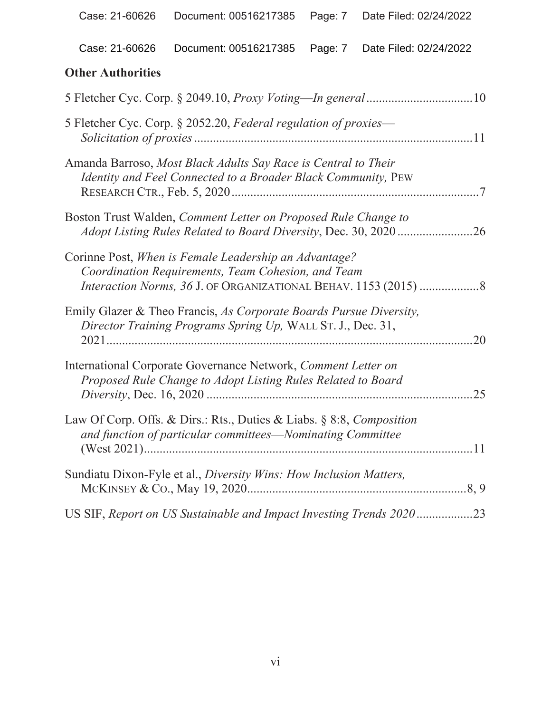### **2Where Authorities**

| 5 Fletcher Cyc. Corp. § 2052.20, Federal regulation of proxies—                                                                         |
|-----------------------------------------------------------------------------------------------------------------------------------------|
| Amanda Barroso, Most Black Adults Say Race is Central to Their<br>Identity and Feel Connected to a Broader Black Community, PEW         |
| Boston Trust Walden, Comment Letter on Proposed Rule Change to<br>.26                                                                   |
| Corinne Post, When is Female Leadership an Advantage?<br>Coordination Requirements, Team Cohesion, and Team                             |
| Emily Glazer & Theo Francis, As Corporate Boards Pursue Diversity,<br>Director Training Programs Spring Up, WALL ST. J., Dec. 31,<br>20 |
| International Corporate Governance Network, Comment Letter on<br>Proposed Rule Change to Adopt Listing Rules Related to Board<br>25     |
| Law Of Corp. Offs. & Dirs.: Rts., Duties & Liabs. § 8:8, Composition<br>and function of particular committees-Nominating Committee      |
| Sundiatu Dixon-Fyle et al., Diversity Wins: How Inclusion Matters,                                                                      |
| US SIF, Report on US Sustainable and Impact Investing Trends 202023                                                                     |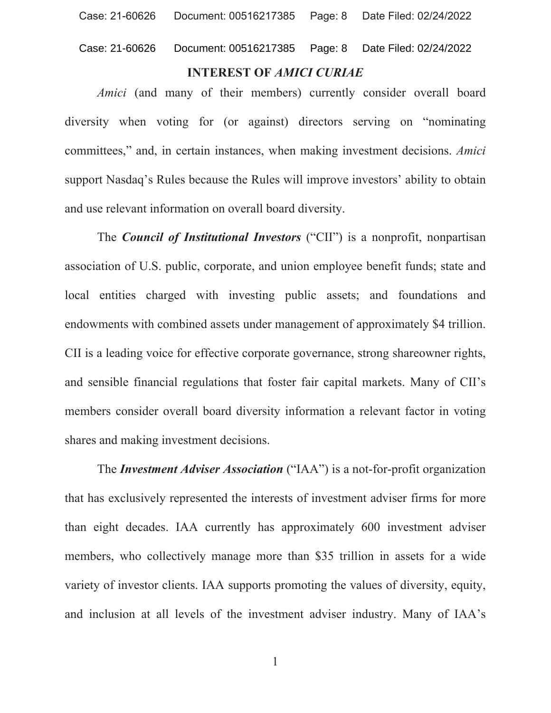### **INTEREST OF AMICI CURIAE**

Amici (and many of their members) currently consider overall board diversity when voting for (or against) directors serving on "nominating committees," and, in certain instances, when making investment decisions. Amici support Nasdaq's Rules because the Rules will improve investors' ability to obtain and use relevant information on overall board diversity.

The *Council of Institutional Investors* ("CII") is a nonprofit, nonpartisan association of U.S. public, corporate, and union employee benefit funds; state and local entities charged with investing public assets; and foundations and endowments with combined assets under management of approximately \$4 trillion. CII is a leading voice for effective corporate governance, strong shareowner rights, and sensible financial regulations that foster fair capital markets. Many of CII's members consider overall board diversity information a relevant factor in voting shares and making investment decisions.

The *Investment Adviser Association* ("IAA") is a not-for-profit organization that has exclusively represented the interests of investment adviser firms for more than eight decades. IAA currently has approximately 600 investment adviser members, who collectively manage more than \$35 trillion in assets for a wide variety of investor clients. IAA supports promoting the values of diversity, equity, and inclusion at all levels of the investment adviser industry. Many of IAA's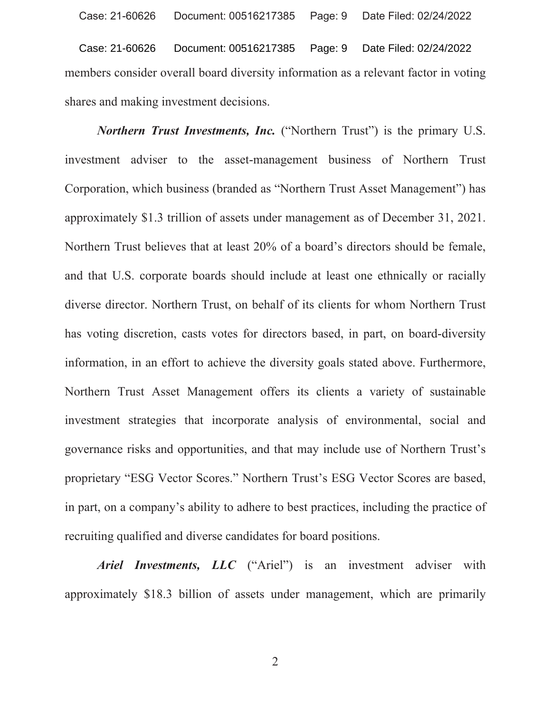Page: 9 Date Filed: 02/24/2022 Case: 21-60626 Document: 00516217385 members consider overall board diversity information as a relevant factor in voting shares and making investment decisions.

**Northern Trust Investments, Inc.** ("Northern Trust") is the primary U.S. investment adviser to the asset-management business of Northern Trust Corporation, which business (branded as "Northern Trust Asset Management") has approximately \$1.3 trillion of assets under management as of December 31, 2021. Northern Trust believes that at least 20% of a board's directors should be female, and that U.S. corporate boards should include at least one ethnically or racially diverse director. Northern Trust, on behalf of its clients for whom Northern Trust has voting discretion, casts votes for directors based, in part, on board-diversity information, in an effort to achieve the diversity goals stated above. Furthermore, Northern Trust Asset Management offers its clients a variety of sustainable investment strategies that incorporate analysis of environmental, social and governance risks and opportunities, and that may include use of Northern Trust's proprietary "ESG Vector Scores." Northern Trust's ESG Vector Scores are based, in part, on a company's ability to adhere to best practices, including the practice of recruiting qualified and diverse candidates for board positions.

Ariel Investments, LLC ("Ariel") is an investment adviser with approximately \$18.3 billion of assets under management, which are primarily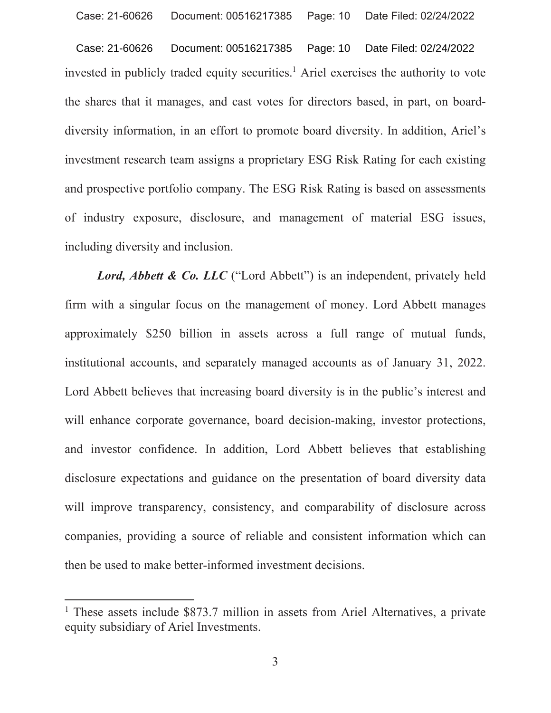Case: 21-60626 Document: 00516217385 Page: 10 Date Filed: 02/24/2022 invested in publicly traded equity securities.<sup>1</sup> Ariel exercises the authority to vote the shares that it manages, and cast votes for directors based, in part, on boarddiversity information, in an effort to promote board diversity. In addition, Ariel's investment research team assigns a proprietary ESG Risk Rating for each existing and prospective portfolio company. The ESG Risk Rating is based on assessments of industry exposure, disclosure, and management of material ESG issues, including diversity and inclusion.

Lord, Abbett & Co. LLC ("Lord Abbett") is an independent, privately held firm with a singular focus on the management of money. Lord Abbett manages approximately \$250 billion in assets across a full range of mutual funds, institutional accounts, and separately managed accounts as of January 31, 2022. Lord Abbett believes that increasing board diversity is in the public's interest and will enhance corporate governance, board decision-making, investor protections, and investor confidence. In addition, Lord Abbett believes that establishing disclosure expectations and guidance on the presentation of board diversity data will improve transparency, consistency, and comparability of disclosure across companies, providing a source of reliable and consistent information which can then be used to make better-informed investment decisions.

<sup>&</sup>lt;sup>1</sup> These assets include \$873.7 million in assets from Ariel Alternatives, a private equity subsidiary of Ariel Investments.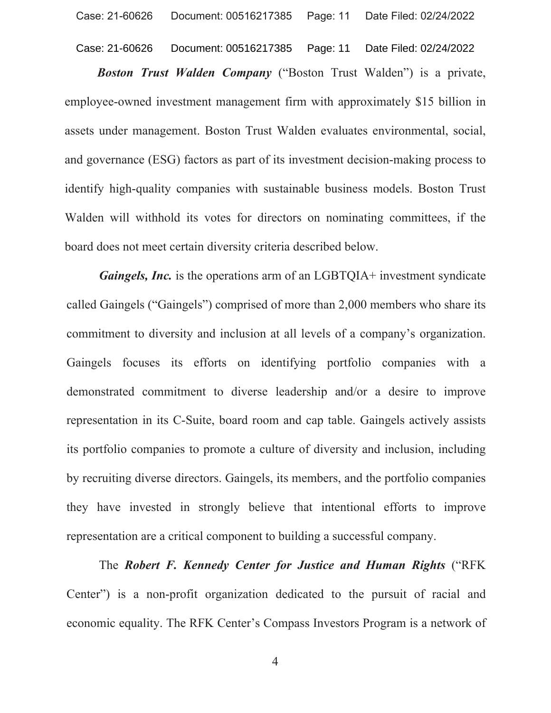Case: 21-60626 Document: 00516217385 Page: 11 Date Filed: 02/24/2022

**Boston Trust Walden Company** ("Boston Trust Walden") is a private, employee-owned investment management firm with approximately \$15 billion in assets under management. Boston Trust Walden evaluates environmental, social, and governance (ESG) factors as part of its investment decision-making process to identify high-quality companies with sustainable business models. Boston Trust Walden will withhold its votes for directors on nominating committees, if the board does not meet certain diversity criteria described below.

*Gaingels, Inc.* is the operations arm of an LGBTQIA+ investment syndicate called Gaingels ("Gaingels") comprised of more than 2,000 members who share its commitment to diversity and inclusion at all levels of a company's organization. Gaingels focuses its efforts on identifying portfolio companies with a demonstrated commitment to diverse leadership and/or a desire to improve representation in its C-Suite, board room and cap table. Gaingels actively assists its portfolio companies to promote a culture of diversity and inclusion, including by recruiting diverse directors. Gaingels, its members, and the portfolio companies they have invested in strongly believe that intentional efforts to improve representation are a critical component to building a successful company.

The Robert F. Kennedy Center for Justice and Human Rights ("RFK Center") is a non-profit organization dedicated to the pursuit of racial and economic equality. The RFK Center's Compass Investors Program is a network of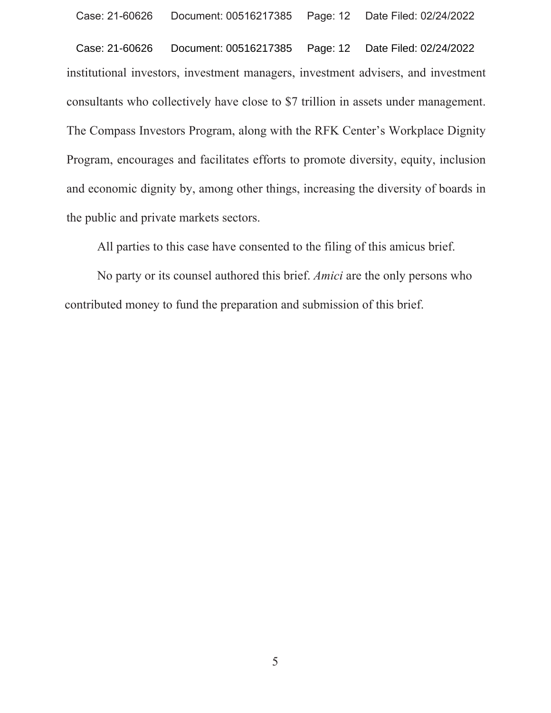institutional investors, investment managers, investment advisers, and investment consultants who collectively have close to \$7 trillion in assets under management. The Compass Investors Program, along with the RFK Center's Workplace Dignity. Program, encourages and facilitates efforts to promote diversity, equity, inclusion and economic dignity by, among other things, increasing the diversity of boards in the public and private markets sectors. Case: 21-60626 Document: 00516217385 Page: 12 Date Filed: 02/24/2022

All parties to this case have consented to the filing of this amicus brief.

No party or its counsel authored this brief. *Amici* are the only persons who contributed money to fund the preparation and submission of this brief.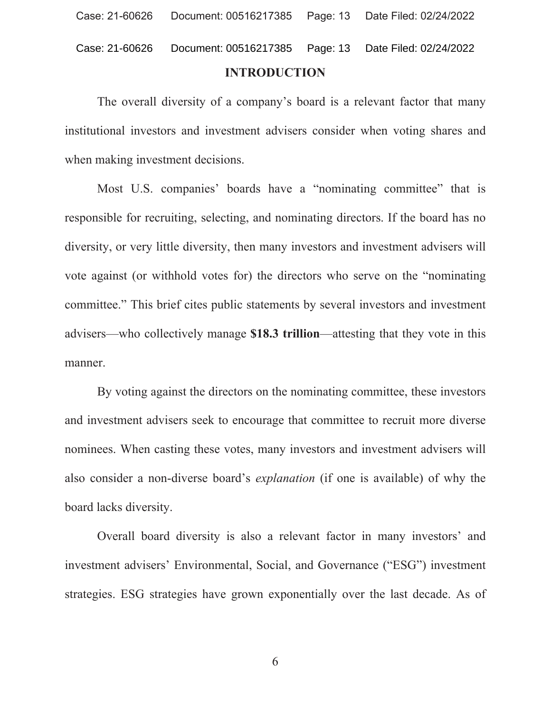The overall diversity of a company's board is a relevant factor that many institutional investors and investment advisers consider when voting shares and when making investment decisions.

Most U.S. companies' boards have a "nominating committee" that is responsible for recruiting, selecting, and nominating directors. If the board has no diversity, or very little diversity, then many investors and investment advisers will vote against (or withhold votes for) the directors who serve on the "nominating" committee." This brief cites public statements by several investors and investment advisers—who collectively manage \$18.3 trillion—attesting that they vote in this manner.

By voting against the directors on the nominating committee, these investors and investment advisers seek to encourage that committee to recruit more diverse nominees. When casting these votes, many investors and investment advisers will also consider a non-diverse board's *explanation* (if one is available) of why the board lacks diversity.

Overall board diversity is also a relevant factor in many investors' and investment advisers' Environmental, Social, and Governance ("ESG") investment strategies. ESG strategies have grown exponentially over the last decade. As of

6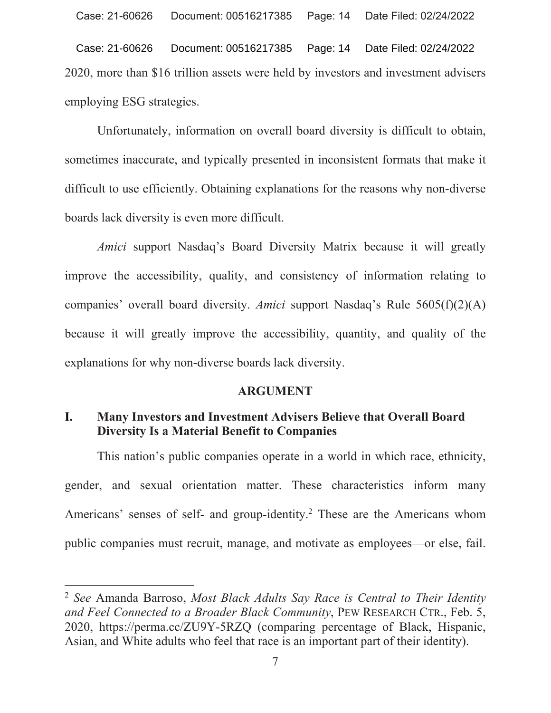Date Filed: 02/24/2022 Case: 21-60626 Document: 00516217385 Page: 14 2020, more than \$16 trillion assets were held by investors and investment advisers employing ESG strategies.

Unfortunately, information on overall board diversity is difficult to obtain, sometimes inaccurate, and typically presented in inconsistent formats that make it difficult to use efficiently. Obtaining explanations for the reasons why non-diverse boards lack diversity is even more difficult.

Amici support Nasdaq's Board Diversity Matrix because it will greatly improve the accessibility, quality, and consistency of information relating to companies' overall board diversity. Amici support Nasdaq's Rule 5605(f)(2)(A) because it will greatly improve the accessibility, quantity, and quality of the explanations for why non-diverse boards lack diversity.

### **ARGUMENT**

#### I. Many Investors and Investment Advisers Believe that Overall Board **Diversity Is a Material Benefit to Companies**

This nation's public companies operate in a world in which race, ethnicity, gender, and sexual orientation matter. These characteristics inform many Americans' senses of self- and group-identity.<sup>2</sup> These are the Americans whom public companies must recruit, manage, and motivate as employees—or else, fail.

<sup>&</sup>lt;sup>2</sup> See Amanda Barroso, Most Black Adults Say Race is Central to Their Identity and Feel Connected to a Broader Black Community, PEW RESEARCH CTR., Feb. 5, 2020, https://perma.cc/ZU9Y-5RZQ (comparing percentage of Black, Hispanic, Asian, and White adults who feel that race is an important part of their identity).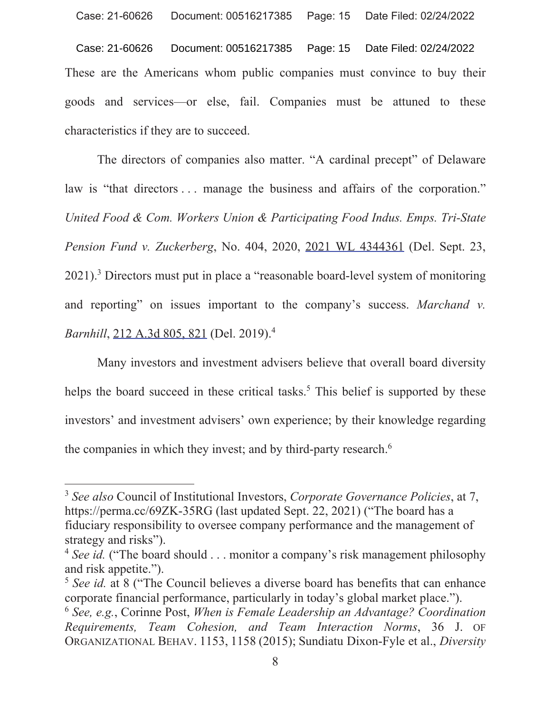Case: 21-60626 Document: 00516217385 Page: 15 Date Filed: 02/24/2022 These are the Americans whom public companies must convince to buy their goods and services or else, fail. Companies must be attuned to these characteristics if they are to succeed.

The directors of companies also matter. "A cardinal precept" of Delaware law is "that directors ... manage the business and affairs of the corporation." United Food & Com. Workers Union & Participating Food Indus. Emps. Tri-State Pension Fund v. Zuckerberg, No. 404, 2020, 2021 WL 4344361 (Del. Sept. 23, 2021).<sup>3</sup> Directors must put in place a "reasonable board-level system of monitoring and reporting" on issues important to the company's success. Marchand  $\nu$ . Barnhill, 212 A.3d 805, 821 (Del. 2019).<sup>4</sup>

Many investors and investment advisers believe that overall board diversity helps the board succeed in these critical tasks.<sup>5</sup> This belief is supported by these investors' and investment advisers' own experience; by their knowledge regarding the companies in which they invest; and by third-party research.<sup>6</sup>

<sup>&</sup>lt;sup>3</sup> See also Council of Institutional Investors, Corporate Governance Policies, at 7, https://perma.cc/69ZK-35RG (last updated Sept. 22, 2021) ("The board has a fiduciary responsibility to oversee company performance and the management of strategy and risks").

<sup>&</sup>lt;sup>4</sup> See id. ("The board should ... monitor a company's risk management philosophy and risk appetite.").

<sup>&</sup>lt;sup>5</sup> See id. at 8 ("The Council believes a diverse board has benefits that can enhance corporate financial performance, particularly in today's global market place.").

 $6$  See, e.g., Corinne Post, When is Female Leadership an Advantage? Coordination Requirements, Team Cohesion, and Team Interaction Norms, 36 J. OF ORGANIZATIONAL BEHAV. 1153, 1158 (2015); Sundiatu Dixon-Fyle et al., Diversity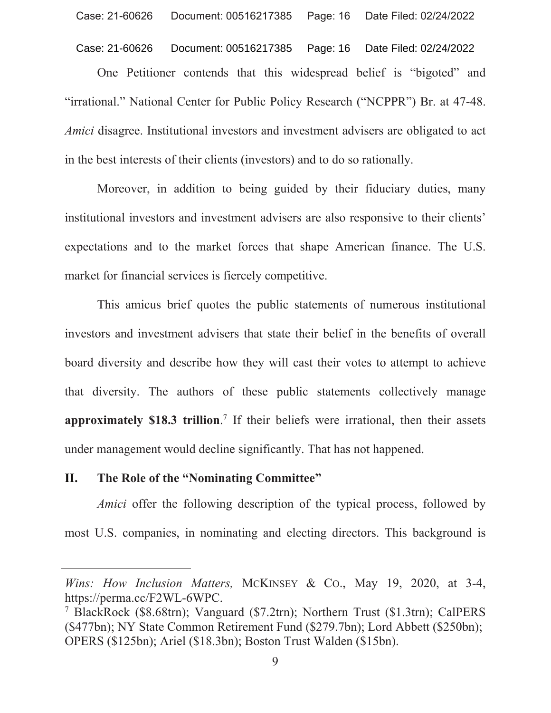#### Document: 00516217385 Case: 21-60626 Page: 16 Date Filed: 02/24/2022

One Petitioner contends that this widespread belief is "bigoted" and "irrational." National Center for Public Policy Research ("NCPPR") Br. at 47-48. *Amici* disagree. Institutional investors and investment advisers are obligated to act in the best interests of their clients (investors) and to do so rationally.

Moreover, in addition to being guided by their fiduciary duties, many institutional investors and investment advisers are also responsive to their clients' expectations and to the market forces that shape American finance. The U.S. market for financial services is fiercely competitive.

This amicus brief quotes the public statements of numerous institutional investors and investment advisers that state their belief in the benefits of overall board diversity and describe how they will cast their votes to attempt to achieve that diversity. The authors of these public statements collectively manage approximately \$18.3 trillion.<sup>7</sup> If their beliefs were irrational, then their assets under management would decline significantly. That has not happened.

#### The Role of the "Nominating Committee" II.

*Amici* offer the following description of the typical process, followed by most U.S. companies, in nominating and electing directors. This background is

Wins: How Inclusion Matters, MCKINSEY & Co., May 19, 2020, at 3-4, https://perma.cc/F2WL-6WPC.

<sup>&</sup>lt;sup>7</sup> BlackRock (\$8.68trn); Vanguard (\$7.2trn); Northern Trust (\$1.3trn); CalPERS (\$477bn); NY State Common Retirement Fund (\$279.7bn); Lord Abbett (\$250bn); OPERS (\$125bn); Ariel (\$18.3bn); Boston Trust Walden (\$15bn).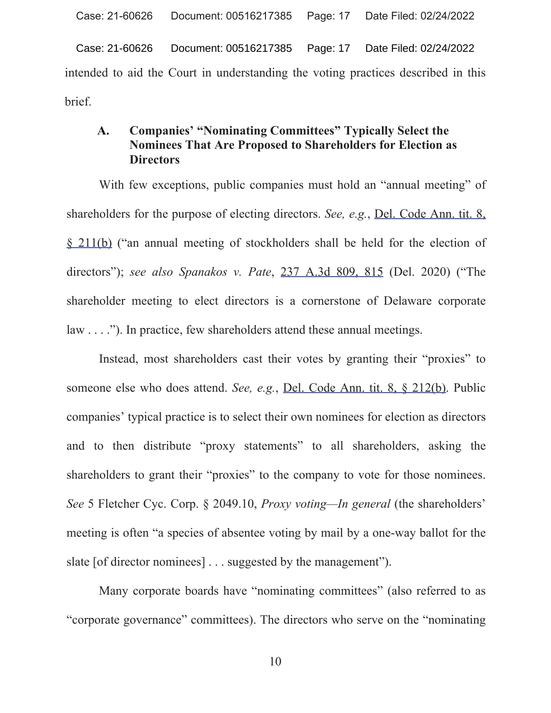Case: 21-60626 Document: 00516217385 Page: 17 Date Filed: 02/24/2022 intended to aid the Court in understanding the voting practices described in this brief.

### **Companies' "Nominating Committees" Typically Select the** A. **Nominees That Are Proposed to Shareholders for Election as Directors**

With few exceptions, public companies must hold an "annual meeting" of shareholders for the purpose of electing directors. See, e.g., Del. Code Ann. tit. 8. § 211(b) ("an annual meeting of stockholders shall be held for the election of directors"); see also Spanakos v. Pate, 237 A.3d 809, 815 (Del. 2020) ("The shareholder meeting to elect directors is a cornerstone of Delaware corporate  $law \dots$ "). In practice, few shareholders attend these annual meetings.

Instead, most shareholders cast their votes by granting their "proxies" to someone else who does attend. See, e.g., Del. Code Ann. tit. 8, 8 212(b). Public companies' typical practice is to select their own nominees for election as directors and to then distribute "proxy statements" to all shareholders, asking the shareholders to grant their "proxies" to the company to vote for those nominees. See 5 Fletcher Cyc. Corp. § 2049.10, *Proxy voting—In general* (the shareholders' meeting is often "a species of absentee voting by mail by a one-way ballot for the slate [of director nominees] . . . suggested by the management").

Many corporate boards have "nominating committees" (also referred to as "corporate governance" committees). The directors who serve on the "nominating"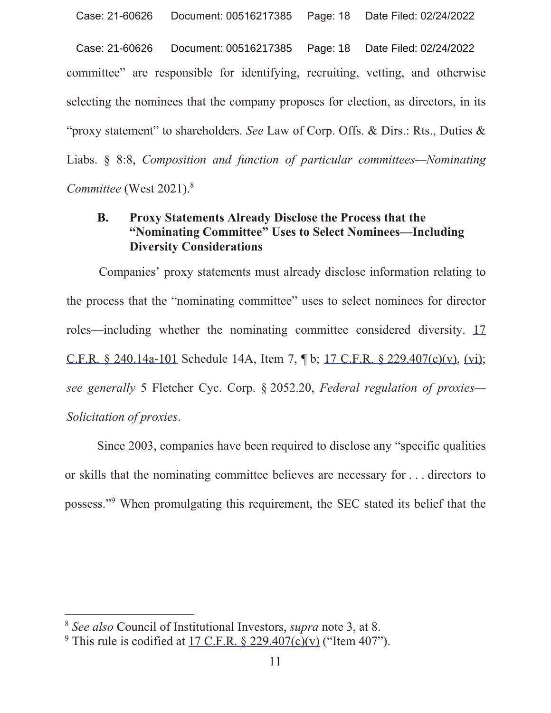committee" are responsible for identifying, recruiting, vetting, and otherwise selecting the nominees that the company proposes for election, as directors, in its "proxy statement" to shareholders. See Law of Corp. Offs. & Dirs.: Rts., Duties & Liabs. § 8:8, *Composition and function of particular committees—Nominating Committee* (West 2021).<sup>8</sup> Case: 21-60626 Document: 00516217385 Page: 18 Date Filed: 02/24/2022

### **B.** Proxy Statements Already Disclose the Process that the "Nominating Committee" Uses to Select Nominees—Including **Diversity Considerations**

Companies' proxy statements must already disclose information relating to the process that the "nominating committee" uses to select nominees for director roles—including whether the nominating committee considered diversity.  $17$ C.F.R. § 240.14a-101 Schedule 14A, Item 7,  $\oint$  b; 17 C.F.R. § 229.407(c)(v), (vi); *see generally* 5 Fletcher Cyc. Corp. § 2052.20, *Federal regulation of proxies— Solicitation of proxies*

Since 2003, companies have been required to disclose any "specific qualities" or skills that the nominating committee believes are necessary for  $\dots$  directors to possess."<sup>9</sup> When promulgating this requirement, the SEC stated its belief that the

<sup>&</sup>lt;sup>8</sup> *See also* Council of Institutional Investors, *supra* note 3, at 8.

<sup>&</sup>lt;sup>9</sup> This rule is codified at <u>17 C.F.R. § 229.407(c)(v</u>) ("Item 407").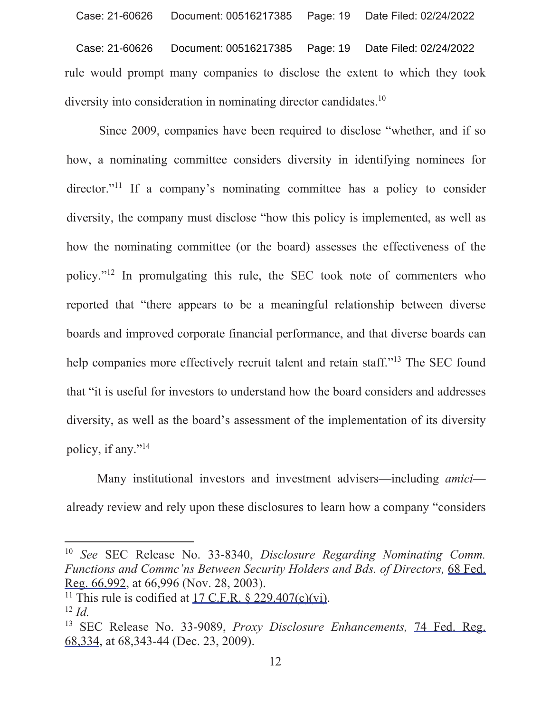Document: 00516217385 Case: 21-60626 Page: 19 Date Filed: 02/24/2022 rule would prompt many companies to disclose the extent to which they took diversity into consideration in nominating director candidates.<sup>10</sup>

Since 2009, companies have been required to disclose "whether, and if so how, a nominating committee considers diversity in identifying nominees for director."<sup>11</sup> If a company's nominating committee has a policy to consider diversity, the company must disclose "how this policy is implemented, as well as how the nominating committee (or the board) assesses the effectiveness of the policy."<sup>12</sup> In promulgating this rule, the SEC took note of commenters who reported that "there appears to be a meaningful relationship between diverse boards and improved corporate financial performance, and that diverse boards can help companies more effectively recruit talent and retain staff."<sup>13</sup> The SEC found that "it is useful for investors to understand how the board considers and addresses diversity, as well as the board's assessment of the implementation of its diversity policy, if any."<sup>14</sup>

Many institutional investors and investment advisers—including amici already review and rely upon these disclosures to learn how a company "considers"

<sup>&</sup>lt;sup>10</sup> See SEC Release No. 33-8340, Disclosure Regarding Nominating Comm. Functions and Comme'ns Between Security Holders and Bds. of Directors, 68 Fed. Reg. 66,992, at 66,996 (Nov. 28, 2003).

<sup>&</sup>lt;sup>11</sup> This rule is codified at  $17$  C.F.R. § 229.407(c)(vi).  $^{12}$  *Id.* 

<sup>&</sup>lt;sup>13</sup> SEC Release No. 33-9089, *Proxy Disclosure Enhancements*, 74 Fed. Reg. 68, 334, at 68, 343-44 (Dec. 23, 2009).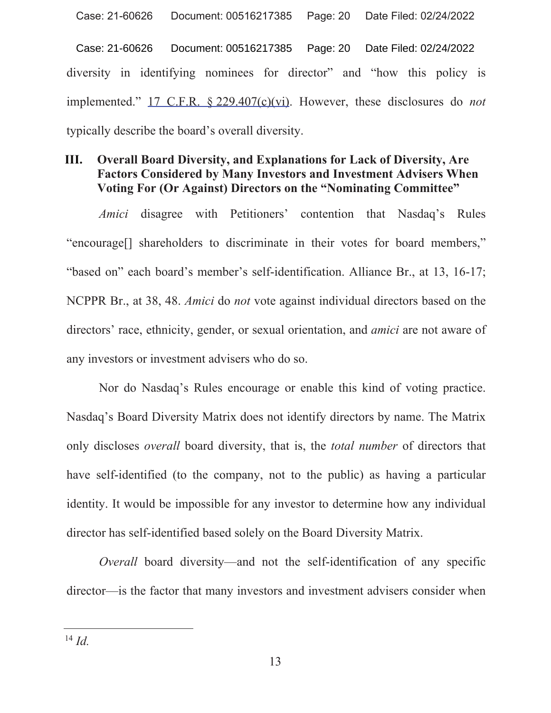Case: 21-60626 Document: 00516217385 Page: 20 Date Filed: 02/24/2022 diversity in identifying nominees for director" and "how this policy is implemented."  $17$  C.F.R.  $\frac{$229.407(c)(vi)}{i}$ . However, these disclosures do *not* typically describe the board's overall diversity.

### **Overall Board Diversity, and Explanations for Lack of Diversity, Are** Ш. **Factors Considered by Many Investors and Investment Advisers When** Voting For (Or Against) Directors on the "Nominating Committee"

Amici disagree with Petitioners' contention that Nasdaq's Rules "encourage<sup>[]</sup> shareholders to discriminate in their votes for board members," "based on" each board's member's self-identification. Alliance Br., at 13, 16-17; NCPPR Br., at 38, 48. Amici do not vote against individual directors based on the directors' race, ethnicity, gender, or sexual orientation, and *amici* are not aware of any investors or investment advisers who do so.

Nor do Nasdaq's Rules encourage or enable this kind of voting practice. Nasdaq's Board Diversity Matrix does not identify directors by name. The Matrix only discloses *overall* board diversity, that is, the *total number* of directors that have self-identified (to the company, not to the public) as having a particular identity. It would be impossible for any investor to determine how any individual director has self-identified based solely on the Board Diversity Matrix.

*Overall* board diversity—and not the self-identification of any specific director—is the factor that many investors and investment advisers consider when

 $^{14}$  Id.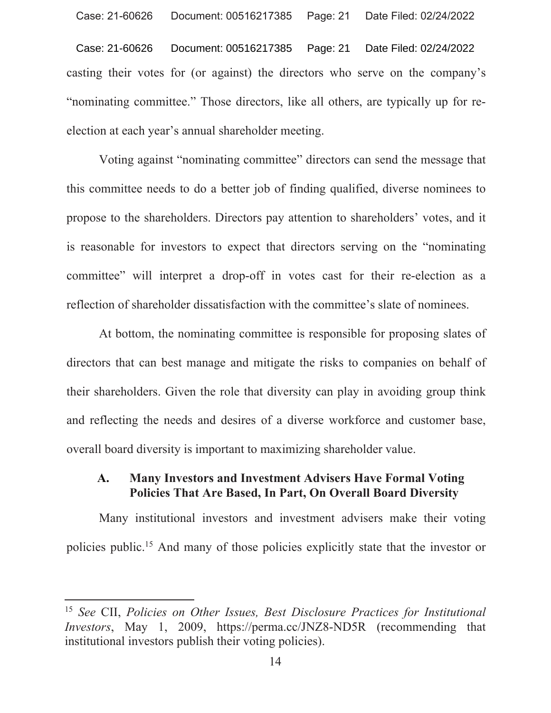Document: 00516217385 Case: 21-60626 Page: 21 Date Filed: 02/24/2022 casting their votes for (or against) the directors who serve on the company's "nominating committee." Those directors, like all others, are typically up for reelection at each year's annual shareholder meeting.

Voting against "nominating committee" directors can send the message that this committee needs to do a better job of finding qualified, diverse nominees to propose to the shareholders. Directors pay attention to shareholders' votes, and it is reasonable for investors to expect that directors serving on the "nominating" committee" will interpret a drop-off in votes cast for their re-election as a reflection of shareholder dissatisfaction with the committee's slate of nominees.

At bottom, the nominating committee is responsible for proposing slates of directors that can best manage and mitigate the risks to companies on behalf of their shareholders. Given the role that diversity can play in avoiding group think and reflecting the needs and desires of a diverse workforce and customer base, overall board diversity is important to maximizing shareholder value.

#### $\mathbf{A}$ . **Many Investors and Investment Advisers Have Formal Voting** Policies That Are Based, In Part, On Overall Board Diversity

Many institutional investors and investment advisers make their voting policies public.<sup>15</sup> And many of those policies explicitly state that the investor or

<sup>&</sup>lt;sup>15</sup> See CII, Policies on Other Issues, Best Disclosure Practices for Institutional *Investors*, May 1, 2009, https://perma.cc/JNZ8-ND5R (recommending that institutional investors publish their voting policies).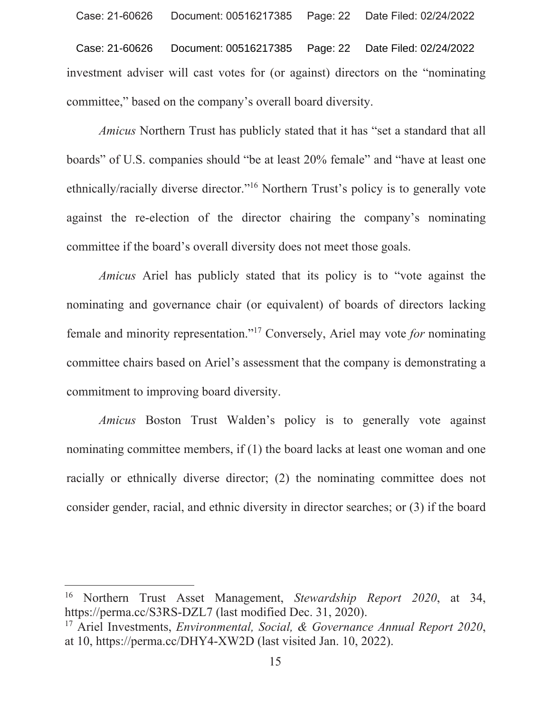investment adviser will cast votes for (or against) directors on the "nominating committee," based on the company's overall board diversity. Case: 21-60626 Document: 00516217385 Page: 22 Date Filed: 02/24/2022

*Amicus* Northern Trust has publicly stated that it has "set a standard that all boards" of U.S. companies should "be at least 20% female" and "have at least one ethnically/racially diverse director."<sup>16</sup> Northern Trust's policy is to generally vote against the re-election of the director chairing the company's nominating committee if the board's overall diversity does not meet those goals.

*Amicus* Ariel has publicly stated that its policy is to "vote against the nominating and governance chair (or equivalent) of boards of directors lacking female and minority representation."<sup>17</sup> Conversely, Ariel may vote for nominating committee chairs based on Ariel's assessment that the company is demonstrating a commitment to improving board diversity.

*Amicus* Boston Trust Walden's policy is to generally vote against nominating committee members, if  $(1)$  the board lacks at least one woman and one racially or ethnically diverse director;  $(2)$  the nominating committee does not consider gender, racial, and ethnic diversity in director searches; or  $(3)$  if the board

<sup>&</sup>lt;sup>16</sup> Northern Trust Asset Management, Stewardship Report 2020, at 34, https://perma.cc/S3RS-DZL7 (last modified Dec. 31, 2020).

<sup>&</sup>lt;sup>17</sup> Ariel Investments, *Environmental, Social, & Governance Annual Report 2020*, at 10, https://perma.cc/DHY4-XW2D (last visited Jan. 10, 2022).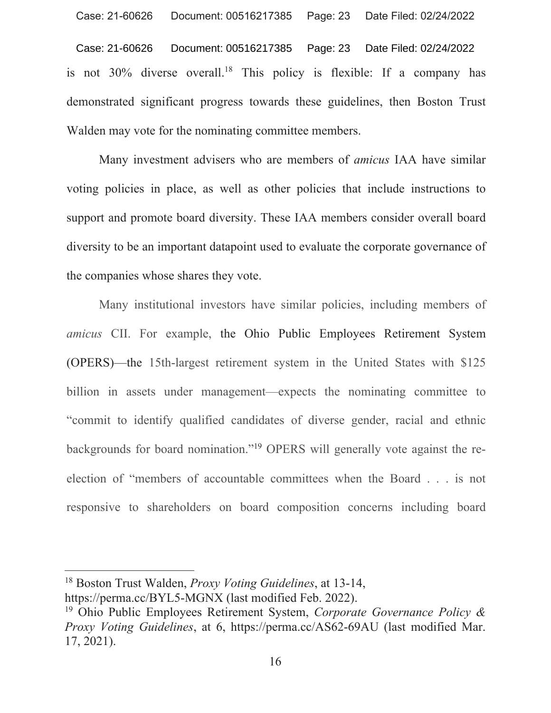Case: 21-60626 Document: 00516217385 Page: 23 Date Filed: 02/24/2022 is not 30% diverse overall.<sup>18</sup> This policy is flexible: If a company has demonstrated significant progress towards these guidelines, then Boston Trust Walden may vote for the nominating committee members.

Many investment advisers who are members of *amicus* IAA have similar voting policies in place, as well as other policies that include instructions to support and promote board diversity. These IAA members consider overall board diversity to be an important datapoint used to evaluate the corporate governance of the companies whose shares they vote.

Many institutional investors have similar policies, including members of amicus CII. For example, the Ohio Public Employees Retirement System (OPERS)—the 15th-largest retirement system in the United States with \$125 billion in assets under management—expects the nominating committee to "commit to identify qualified candidates of diverse gender, racial and ethnic backgrounds for board nomination."<sup>19</sup> OPERS will generally vote against the reelection of "members of accountable committees when the Board . . . is not responsive to shareholders on board composition concerns including board

<sup>&</sup>lt;sup>18</sup> Boston Trust Walden, *Proxy Voting Guidelines*, at 13-14, https://perma.cc/BYL5-MGNX (last modified Feb. 2022).

<sup>&</sup>lt;sup>19</sup> Ohio Public Employees Retirement System, Corporate Governance Policy & *Proxy Voting Guidelines, at 6, https://perma.cc/AS62-69AU (last modified Mar.*  $17, 2021$ .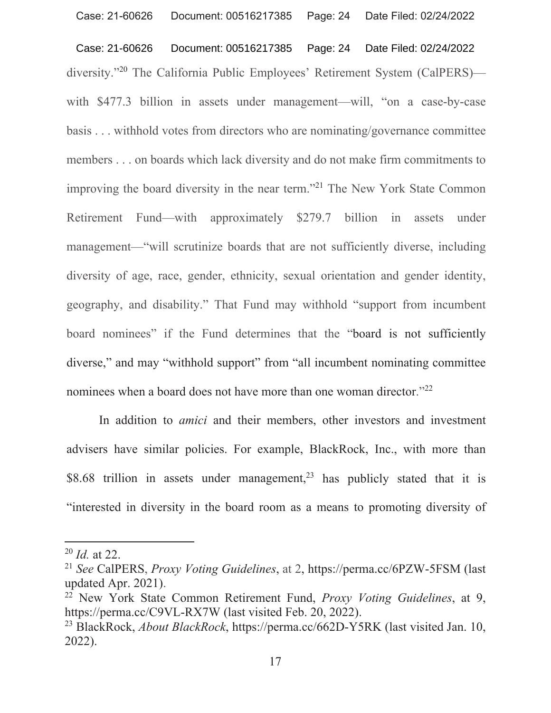Document: 00516217385 Page: 24 Date Filed: 02/24/2022 Case: 21-60626 diversity."<sup>20</sup> The California Public Employees' Retirement System (CalPERS) with \$477.3 billion in assets under management—will, "on a case-by-case" basis . . . withhold votes from directors who are nominating/governance committee members . . . on boards which lack diversity and do not make firm commitments to improving the board diversity in the near term."<sup>21</sup> The New York State Common Retirement Fund—with approximately \$279.7 billion in assets under management—"will scrutinize boards that are not sufficiently diverse, including diversity of age, race, gender, ethnicity, sexual orientation and gender identity, geography, and disability." That Fund may withhold "support from incumbent board nominees" if the Fund determines that the "board is not sufficiently diverse," and may "withhold support" from "all incumbent nominating committee nominees when a board does not have more than one woman director."<sup>22</sup>

In addition to *amici* and their members, other investors and investment advisers have similar policies. For example, BlackRock, Inc., with more than \$8.68 trillion in assets under management,<sup>23</sup> has publicly stated that it is "interested in diversity in the board room as a means to promoting diversity of

<sup>22</sup> New York State Common Retirement Fund, *Proxy Voting Guidelines*, at 9, https://perma.cc/C9VL-RX7W (last visited Feb. 20, 2022).

 $^{20}$  *Id.* at 22.

<sup>&</sup>lt;sup>21</sup> See CalPERS, *Proxy Voting Guidelines*, at 2, https://perma.cc/6PZW-5FSM (last updated Apr. 2021).

<sup>&</sup>lt;sup>23</sup> BlackRock, *About BlackRock*, https://perma.cc/662D-Y5RK (last visited Jan. 10,  $2022$ ).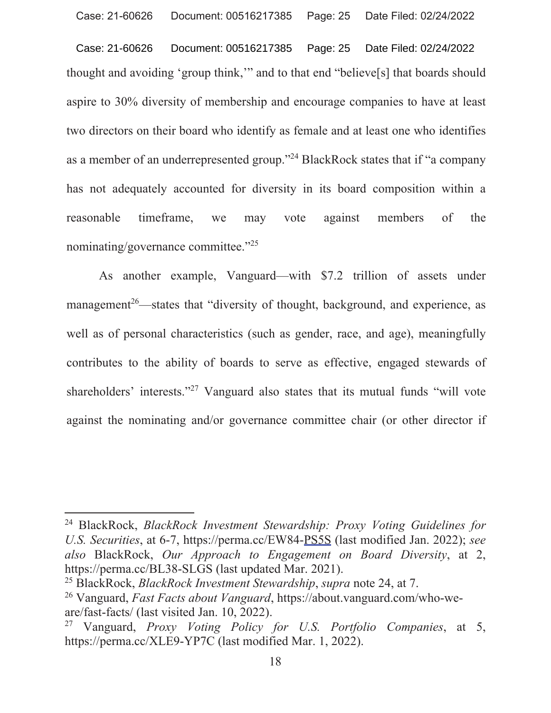Document: 00516217385 Case: 21-60626 Page: 25 Date Filed: 02/24/2022 thought and avoiding 'group think," and to that end "believe[s] that boards should aspire to 30% diversity of membership and encourage companies to have at least two directors on their board who identify as female and at least one who identifies as a member of an underrepresented group."<sup>24</sup> BlackRock states that if "a company" has not adequately accounted for diversity in its board composition within a timeframe, reasonable we may vote against members of the nominating/governance committee."25

As another example, Vanguard—with \$7.2 trillion of assets under management<sup>26</sup>—states that "diversity of thought, background, and experience, as well as of personal characteristics (such as gender, race, and age), meaningfully contributes to the ability of boards to serve as effective, engaged stewards of shareholders' interests."<sup>27</sup> Vanguard also states that its mutual funds "will vote against the nominating and/or governance committee chair (or other director if

<sup>&</sup>lt;sup>24</sup> BlackRock, BlackRock Investment Stewardship: Proxy Voting Guidelines for U.S. Securities, at 6-7, https://perma.cc/EW84-PS5S (last modified Jan. 2022); see also BlackRock, Our Approach to Engagement on Board Diversity, at 2, https://perma.cc/BL38-SLGS (last updated Mar. 2021).

<sup>&</sup>lt;sup>25</sup> BlackRock, *BlackRock Investment Stewardship*, *supra* note 24, at 7.

<sup>&</sup>lt;sup>26</sup> Vanguard, *Fast Facts about Vanguard*, https://about.vanguard.com/who-weare/fast-facts/ (last visited Jan. 10, 2022).

Vanguard, Proxy Voting Policy for U.S. Portfolio Companies, at 5, 27 https://perma.cc/XLE9-YP7C (last modified Mar. 1, 2022).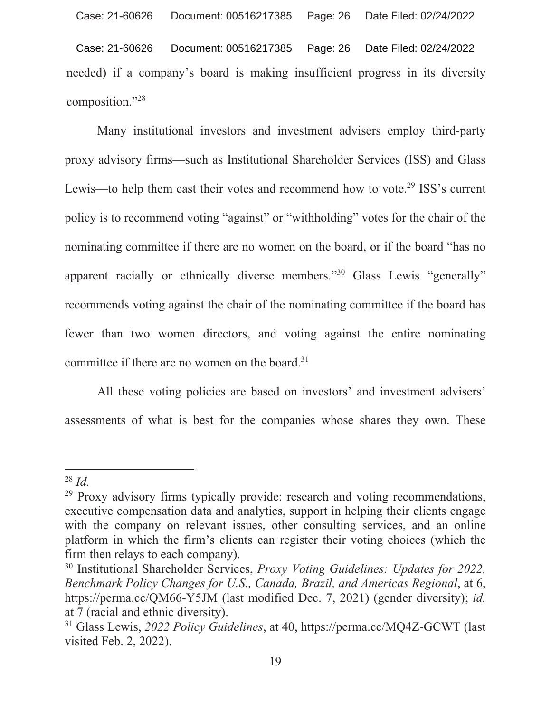Date Filed: 02/24/2022 Case: 21-60626 Document: 00516217385 Page: 26 needed) if a company's board is making insufficient progress in its diversity composition."28

Many institutional investors and investment advisers employ third-party proxy advisory firms—such as Institutional Shareholder Services (ISS) and Glass Lewis—to help them cast their votes and recommend how to vote.<sup>29</sup> ISS's current policy is to recommend voting "against" or "withholding" votes for the chair of the nominating committee if there are no women on the board, or if the board "has no apparent racially or ethnically diverse members."<sup>30</sup> Glass Lewis "generally" recommends voting against the chair of the nominating committee if the board has fewer than two women directors, and voting against the entire nominating committee if there are no women on the board.<sup>31</sup>

All these voting policies are based on investors' and investment advisers' assessments of what is best for the companies whose shares they own. These

 $^{28}$  Id.

<sup>&</sup>lt;sup>29</sup> Proxy advisory firms typically provide: research and voting recommendations, executive compensation data and analytics, support in helping their clients engage with the company on relevant issues, other consulting services, and an online platform in which the firm's clients can register their voting choices (which the firm then relays to each company).

<sup>&</sup>lt;sup>30</sup> Institutional Shareholder Services, *Proxy Voting Guidelines: Updates for 2022*, Benchmark Policy Changes for U.S., Canada, Brazil, and Americas Regional, at 6, https://perma.cc/QM66-Y5JM (last modified Dec. 7, 2021) (gender diversity); id. at 7 (racial and ethnic diversity).

<sup>&</sup>lt;sup>31</sup> Glass Lewis, 2022 Policy Guidelines, at 40, https://perma.cc/MO4Z-GCWT (last visited Feb. 2, 2022).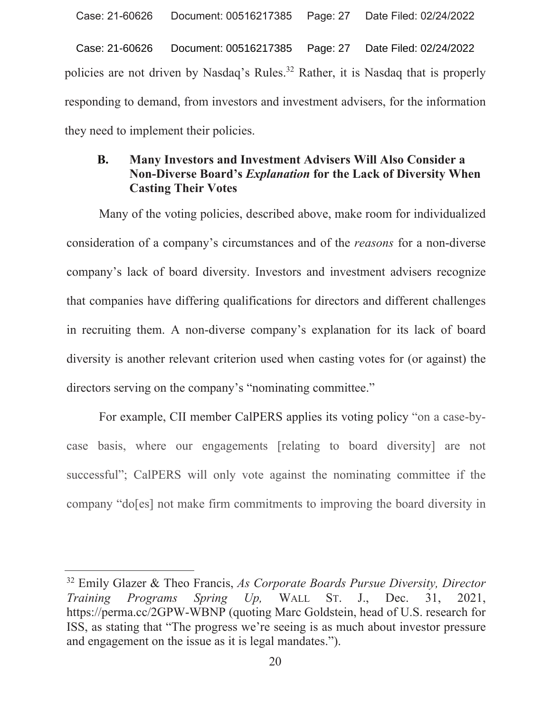Date Filed: 02/24/2022 Case: 21-60626 Document: 00516217385 Page: 27 policies are not driven by Nasdaq's Rules.<sup>32</sup> Rather, it is Nasdaq that is properly responding to demand, from investors and investment advisers, for the information they need to implement their policies.

### Many Investors and Investment Advisers Will Also Consider a **B.** Non-Diverse Board's *Explanation* for the Lack of Diversity When **Casting Their Votes**

Many of the voting policies, described above, make room for individualized consideration of a company's circumstances and of the *reasons* for a non-diverse company's lack of board diversity. Investors and investment advisers recognize that companies have differing qualifications for directors and different challenges in recruiting them. A non-diverse company's explanation for its lack of board diversity is another relevant criterion used when casting votes for (or against) the directors serving on the company's "nominating committee."

For example, CII member CalPERS applies its voting policy "on a case-bycase basis, where our engagements [relating to board diversity] are not successful"; CalPERS will only vote against the nominating committee if the company "do[es] not make firm commitments to improving the board diversity in

<sup>&</sup>lt;sup>32</sup> Emily Glazer & Theo Francis, As Corporate Boards Pursue Diversity, Director Programs Spring  $Up,$ Training WALL ST. 2021,  $J_{\cdot}$ Dec. 31, https://perma.cc/2GPW-WBNP (quoting Marc Goldstein, head of U.S. research for ISS, as stating that "The progress we're seeing is as much about investor pressure and engagement on the issue as it is legal mandates.").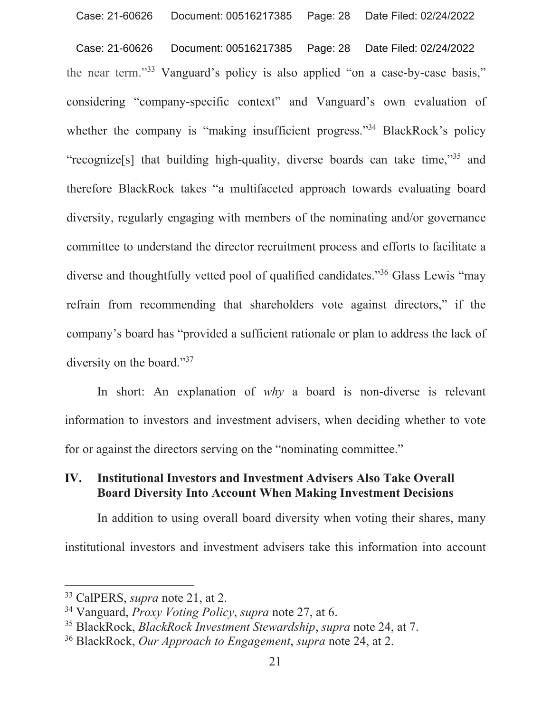Document: 00516217385 Page: 28 Date Filed: 02/24/2022 Case: 21-60626 the near term."33 Vanguard's policy is also applied "on a case-by-case basis," considering "company-specific context" and Vanguard's own evaluation of whether the company is "making insufficient progress."<sup>34</sup> BlackRock's policy "recognize<sup>[5]</sup> that building high-quality, diverse boards can take time,"<sup>35</sup> and therefore BlackRock takes "a multifaceted approach towards evaluating board diversity, regularly engaging with members of the nominating and/or governance committee to understand the director recruitment process and efforts to facilitate a diverse and thoughtfully vetted pool of qualified candidates."<sup>36</sup> Glass Lewis "may refrain from recommending that shareholders vote against directors," if the company's board has "provided a sufficient rationale or plan to address the lack of diversity on the board."37

In short: An explanation of why a board is non-diverse is relevant information to investors and investment advisers, when deciding whether to vote for or against the directors serving on the "nominating committee."

#### **Institutional Investors and Investment Advisers Also Take Overall** IV. **Board Diversity Into Account When Making Investment Decisions**

In addition to using overall board diversity when voting their shares, many institutional investors and investment advisers take this information into account

<sup>&</sup>lt;sup>33</sup> CalPERS, *supra* note 21, at 2.

<sup>&</sup>lt;sup>34</sup> Vanguard, *Proxy Voting Policy*, *supra* note 27, at 6.

<sup>&</sup>lt;sup>35</sup> BlackRock, *BlackRock Investment Stewardship*, *supra* note 24, at 7.

<sup>&</sup>lt;sup>36</sup> BlackRock, *Our Approach to Engagement*, *supra* note 24, at 2.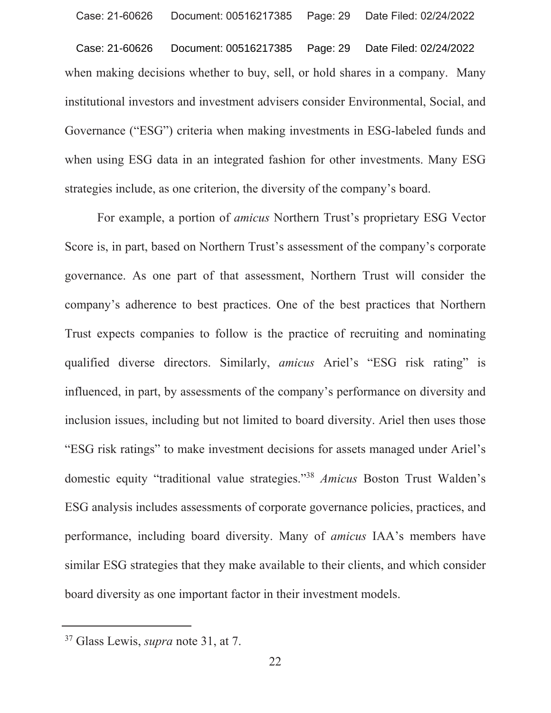Document: 00516217385 Case: 21-60626 Page: 29 Date Filed: 02/24/2022 when making decisions whether to buy, sell, or hold shares in a company. Many institutional investors and investment advisers consider Environmental, Social, and Governance ("ESG") criteria when making investments in ESG-labeled funds and when using ESG data in an integrated fashion for other investments. Many ESG strategies include, as one criterion, the diversity of the company's board.

For example, a portion of *amicus* Northern Trust's proprietary ESG Vector Score is, in part, based on Northern Trust's assessment of the company's corporate governance. As one part of that assessment, Northern Trust will consider the company's adherence to best practices. One of the best practices that Northern Trust expects companies to follow is the practice of recruiting and nominating qualified diverse directors. Similarly, *amicus* Ariel's "ESG risk rating" is influenced, in part, by assessments of the company's performance on diversity and inclusion issues, including but not limited to board diversity. Ariel then uses those "ESG risk ratings" to make investment decisions for assets managed under Ariel's domestic equity "traditional value strategies."<sup>38</sup> Amicus Boston Trust Walden's ESG analysis includes assessments of corporate governance policies, practices, and performance, including board diversity. Many of *amicus* IAA's members have similar ESG strategies that they make available to their clients, and which consider board diversity as one important factor in their investment models.

<sup>&</sup>lt;sup>37</sup> Glass Lewis, *supra* note 31, at 7.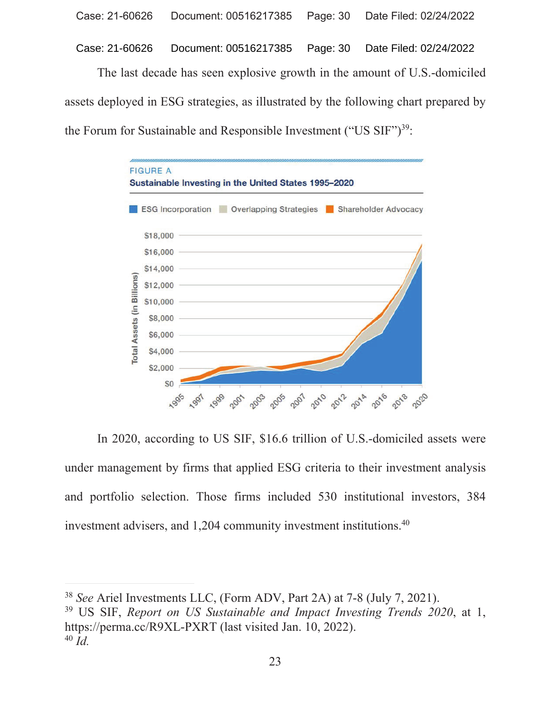Case: 21-60626 Document: 00516217385 Page: 30 Date Filed: 02/24/2022

The last decade has seen explosive growth in the amount of U.S.-domiciled assets deployed in ESG strategies, as illustrated by the following chart prepared by the Forum for Sustainable and Responsible Investment ("US  $\text{SIF"}$ )<sup>39</sup>:



In 2020, according to US SIF, \$16.6 trillion of U.S.-domiciled assets were under management by firms that applied ESG criteria to their investment analysis and portfolio selection. Those firms included 530 institutional investors, 384 investment advisers, and 1,204 community investment institutions. $40$ 

<sup>39</sup> US SIF, Report on US Sustainable and Impact Investing Trends 2020, at 1, https://perma.cc/R9XL-PXRT (last visited Jan. 10, 2022).  $^{40}$  *Id.* 

<sup>&</sup>lt;sup>38</sup> See Ariel Investments LLC, (Form ADV, Part 2A) at 7-8 (July 7, 2021).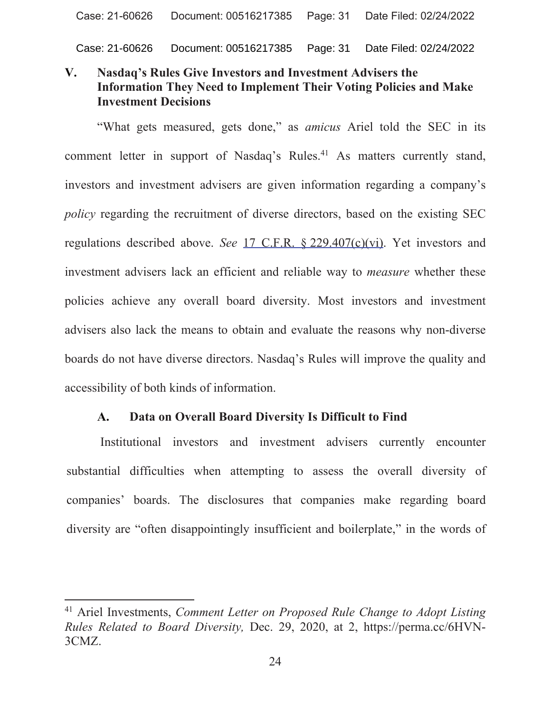Case: 21-60626 Document: 00516217385 Page: 31 Date Filed: 02/24/2022

### **Nasdaq's Rules Give Investors and Investment Advisers the**  $\mathbf{V}_{\bullet}$ **Information They Need to Implement Their Voting Policies and Make Investment Decisions**

"What gets measured, gets done," as *amicus* Ariel told the SEC in its comment letter in support of Nasdaq's Rules.<sup>41</sup> As matters currently stand, investors and investment advisers are given information regarding a company's policy regarding the recruitment of diverse directors, based on the existing SEC regulations described above. See 17 C.F.R. § 229.407(c)(vi). Yet investors and investment advisers lack an efficient and reliable way to *measure* whether these policies achieve any overall board diversity. Most investors and investment advisers also lack the means to obtain and evaluate the reasons why non-diverse boards do not have diverse directors. Nasdaq's Rules will improve the quality and accessibility of both kinds of information.

#### Data on Overall Board Diversity Is Difficult to Find  $\mathbf{A}$ .

Institutional investors and investment advisers currently encounter substantial difficulties when attempting to assess the overall diversity of companies' boards. The disclosures that companies make regarding board diversity are "often disappointingly insufficient and boilerplate," in the words of

<sup>&</sup>lt;sup>41</sup> Ariel Investments, Comment Letter on Proposed Rule Change to Adopt Listing Rules Related to Board Diversity, Dec. 29, 2020, at 2, https://perma.cc/6HVN-3CMZ.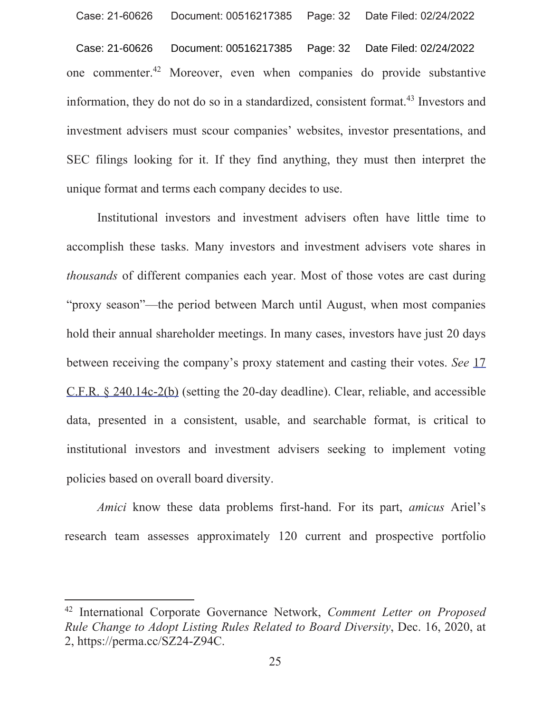Document: 00516217385 Page: 32 Date Filed: 02/24/2022 Case: 21-60626 one commenter.<sup>42</sup> Moreover, even when companies do provide substantive information, they do not do so in a standardized, consistent format.<sup>43</sup> Investors and investment advisers must scour companies' websites, investor presentations, and SEC filings looking for it. If they find anything, they must then interpret the unique format and terms each company decides to use.

Institutional investors and investment advisers often have little time to accomplish these tasks. Many investors and investment advisers vote shares in *thousands* of different companies each year. Most of those votes are cast during "proxy season"-the period between March until August, when most companies hold their annual shareholder meetings. In many cases, investors have just 20 days between receiving the company's proxy statement and casting their votes. See 17 C.F.R. § 240.14c-2(b) (setting the 20-day deadline). Clear, reliable, and accessible data, presented in a consistent, usable, and searchable format, is critical to institutional investors and investment advisers seeking to implement voting policies based on overall board diversity.

Amici know these data problems first-hand. For its part, amicus Ariel's research team assesses approximately 120 current and prospective portfolio

<sup>&</sup>lt;sup>42</sup> International Corporate Governance Network, Comment Letter on Proposed Rule Change to Adopt Listing Rules Related to Board Diversity, Dec. 16, 2020, at 2, https://perma.cc/SZ24-Z94C.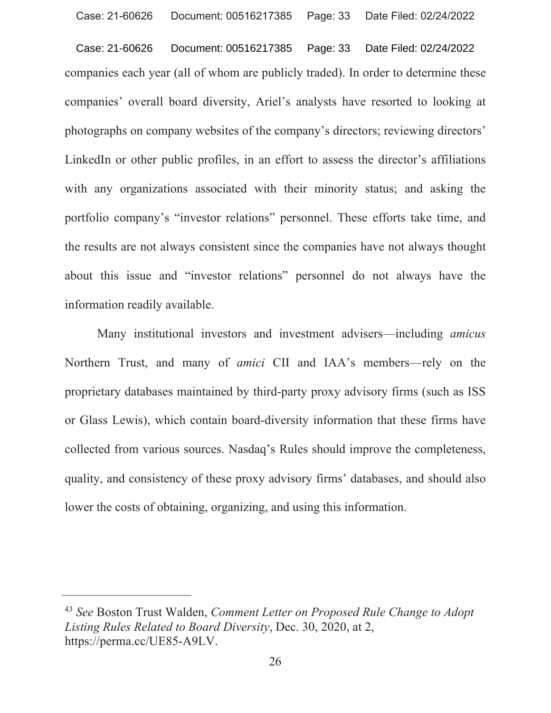Document: 00516217385 Case: 21-60626 Page: 33 Date Filed: 02/24/2022 companies each year (all of whom are publicly traded). In order to determine these companies' overall board diversity, Ariel's analysts have resorted to looking at photographs on company websites of the company's directors; reviewing directors' LinkedIn or other public profiles, in an effort to assess the director's affiliations with any organizations associated with their minority status; and asking the portfolio company's "investor relations" personnel. These efforts take time, and the results are not always consistent since the companies have not always thought about this issue and "investor relations" personnel do not always have the information readily available.

Many institutional investors and investment advisers—including *amicus* Northern Trust, and many of *amici* CII and IAA's members—rely on the proprietary databases maintained by third-party proxy advisory firms (such as ISS or Glass Lewis), which contain board-diversity information that these firms have collected from various sources. Nasdaq's Rules should improve the completeness, quality, and consistency of these proxy advisory firms' databases, and should also lower the costs of obtaining, organizing, and using this information.

<sup>&</sup>lt;sup>43</sup> See Boston Trust Walden, Comment Letter on Proposed Rule Change to Adopt Listing Rules Related to Board Diversity, Dec. 30, 2020, at 2, https://perma.cc/UE85-A9LV.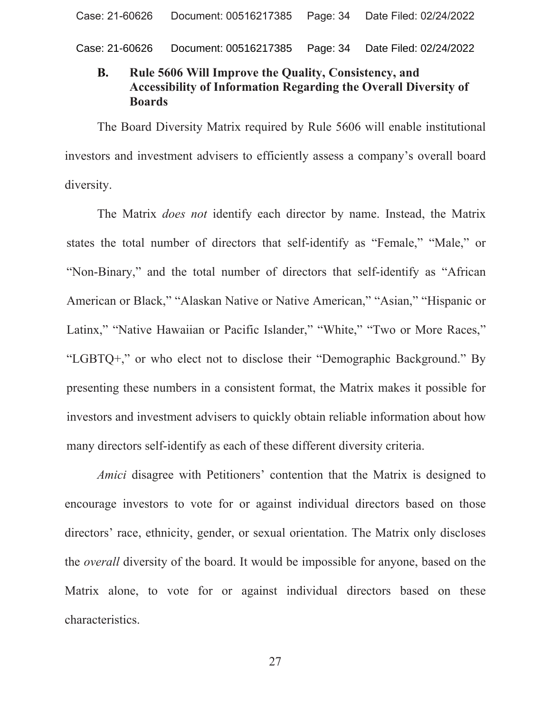Case: 21-60626 Document: 00516217385 Page: 34 Date Filed: 02/24/2022

### Rule 5606 Will Improve the Quality, Consistency, and **B. Accessibility of Information Regarding the Overall Diversity of Boards**

The Board Diversity Matrix required by Rule 5606 will enable institutional investors and investment advisers to efficiently assess a company's overall board diversity.

The Matrix *does not* identify each director by name. Instead, the Matrix states the total number of directors that self-identify as "Female," "Male," or "Non-Binary," and the total number of directors that self-identify as "African" American or Black," "Alaskan Native or Native American," "Asian," "Hispanic or Latinx," "Native Hawaiian or Pacific Islander," "White," "Two or More Races," "LGBTQ+," or who elect not to disclose their "Demographic Background." By presenting these numbers in a consistent format, the Matrix makes it possible for investors and investment advisers to quickly obtain reliable information about how many directors self-identify as each of these different diversity criteria.

Amici disagree with Petitioners' contention that the Matrix is designed to encourage investors to vote for or against individual directors based on those directors' race, ethnicity, gender, or sexual orientation. The Matrix only discloses the *overall* diversity of the board. It would be impossible for anyone, based on the Matrix alone, to vote for or against individual directors based on these characteristics.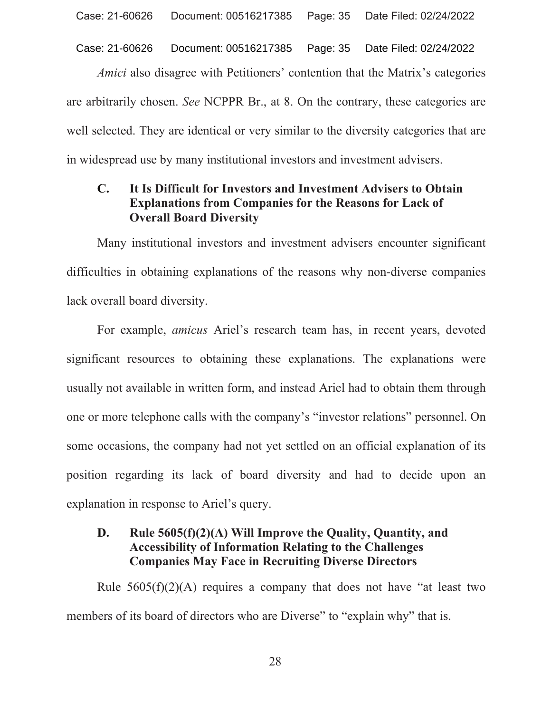Document: 00516217385 Page: 35 Case: 21-60626 Date Filed: 02/24/2022

Amici also disagree with Petitioners' contention that the Matrix's categories are arbitrarily chosen. See NCPPR Br., at 8. On the contrary, these categories are well selected. They are identical or very similar to the diversity categories that are in widespread use by many institutional investors and investment advisers.

### It Is Difficult for Investors and Investment Advisers to Obtain  $\mathbf{C}$ . **Explanations from Companies for the Reasons for Lack of Overall Board Diversity**

Many institutional investors and investment advisers encounter significant difficulties in obtaining explanations of the reasons why non-diverse companies lack overall board diversity.

For example, *amicus* Ariel's research team has, in recent years, devoted significant resources to obtaining these explanations. The explanations were usually not available in written form, and instead Ariel had to obtain them through one or more telephone calls with the company's "investor relations" personnel. On some occasions, the company had not yet settled on an official explanation of its position regarding its lack of board diversity and had to decide upon an explanation in response to Ariel's query.

#### D. Rule 5605(f)(2)(A) Will Improve the Quality, Quantity, and **Accessibility of Information Relating to the Challenges Companies May Face in Recruiting Diverse Directors**

Rule  $5605(f)(2)(A)$  requires a company that does not have "at least two members of its board of directors who are Diverse" to "explain why" that is.

28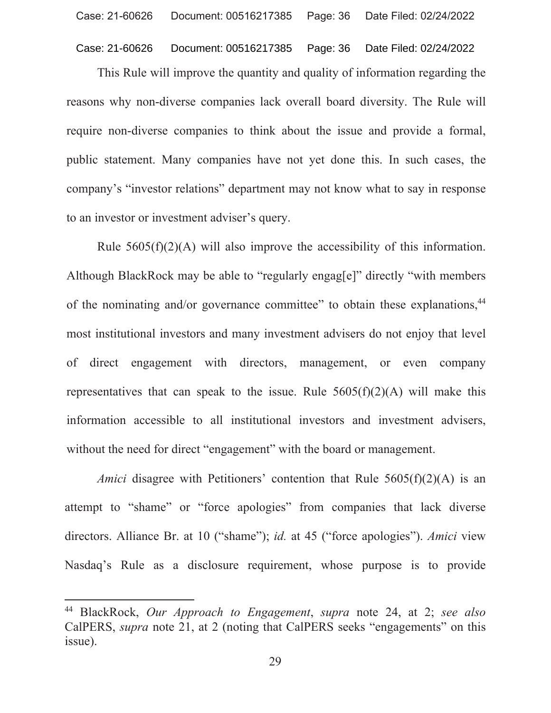#### Case: 21-60626 Document: 00516217385 Page: 36 Date Filed: 02/24/2022

This Rule will improve the quantity and quality of information regarding the reasons why non-diverse companies lack overall board diversity. The Rule will require non-diverse companies to think about the issue and provide a formal, public statement. Many companies have not yet done this. In such cases, the company's "investor relations" department may not know what to say in response to an investor or investment adviser's query.

Rule  $5605(f)(2)(A)$  will also improve the accessibility of this information. Although BlackRock may be able to "regularly engagle]" directly "with members of the nominating and/or governance committee" to obtain these explanations,<sup>44</sup> most institutional investors and many investment advisers do not enjoy that level of direct engagement with directors, management, or even company representatives that can speak to the issue. Rule  $5605(f)(2)(A)$  will make this information accessible to all institutional investors and investment advisers, without the need for direct "engagement" with the board or management.

*Amici* disagree with Petitioners' contention that Rule  $5605(f)(2)(A)$  is an attempt to "shame" or "force apologies" from companies that lack diverse directors. Alliance Br. at 10 ("shame"); id. at 45 ("force apologies"). Amici view Nasdaq's Rule as a disclosure requirement, whose purpose is to provide

<sup>&</sup>lt;sup>44</sup> BlackRock, Our Approach to Engagement, supra note 24, at 2; see also CalPERS, *supra* note 21, at 2 (noting that CalPERS seeks "engagements" on this issue).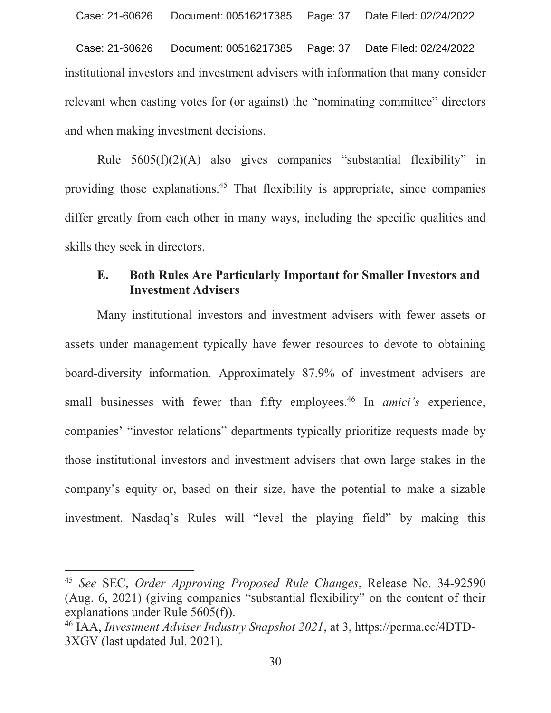Document: 00516217385 Case: 21-60626 Page: 37 Date Filed: 02/24/2022 institutional investors and investment advisers with information that many consider relevant when casting votes for (or against) the "nominating committee" directors and when making investment decisions.

Rule  $5605(f)(2)(A)$  also gives companies "substantial flexibility" in providing those explanations.<sup>45</sup> That flexibility is appropriate, since companies differ greatly from each other in many ways, including the specific qualities and skills they seek in directors.

#### E. **Both Rules Are Particularly Important for Smaller Investors and Investment Advisers**

Many institutional investors and investment advisers with fewer assets or assets under management typically have fewer resources to devote to obtaining board-diversity information. Approximately 87.9% of investment advisers are small businesses with fewer than fifty employees.<sup>46</sup> In *amici's* experience, companies' "investor relations" departments typically prioritize requests made by those institutional investors and investment advisers that own large stakes in the company's equity or, based on their size, have the potential to make a sizable investment. Nasdaq's Rules will "level the playing field" by making this

<sup>&</sup>lt;sup>45</sup> See SEC, Order Approving Proposed Rule Changes, Release No. 34-92590 (Aug. 6, 2021) (giving companies "substantial flexibility" on the content of their explanations under Rule  $5605(f)$ ).

<sup>&</sup>lt;sup>46</sup> IAA, *Investment Adviser Industry Snapshot 2021*, at 3, https://perma.cc/4DTD-3XGV (last updated Jul. 2021).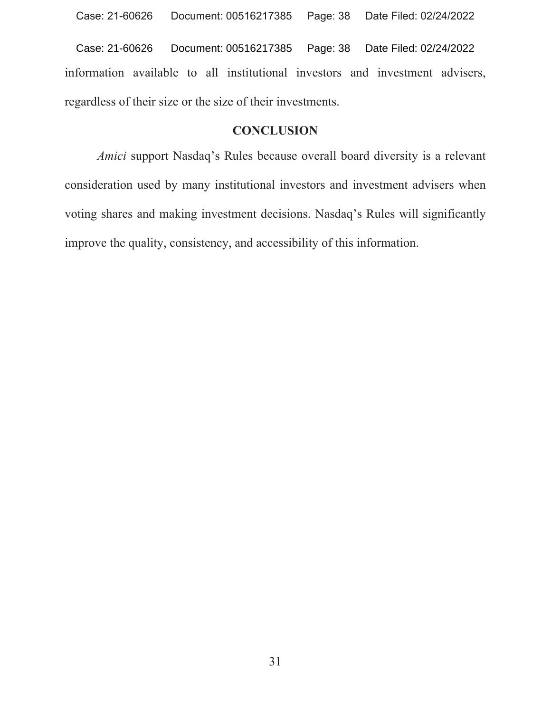information available to all institutional investors and investment advisers, regardless of their size or the size of their investments. Case: 21-60626 Document: 00516217385 Page: 38 Date Filed: 02/24/2022

### **CONCLUSION**

*Amici* support Nasdaq's Rules because overall board diversity is a relevant consideration used by many institutional investors and investment advisers when voting shares and making investment decisions. Nasdaq's Rules will significantly improve the quality, consistency, and accessibility of this information.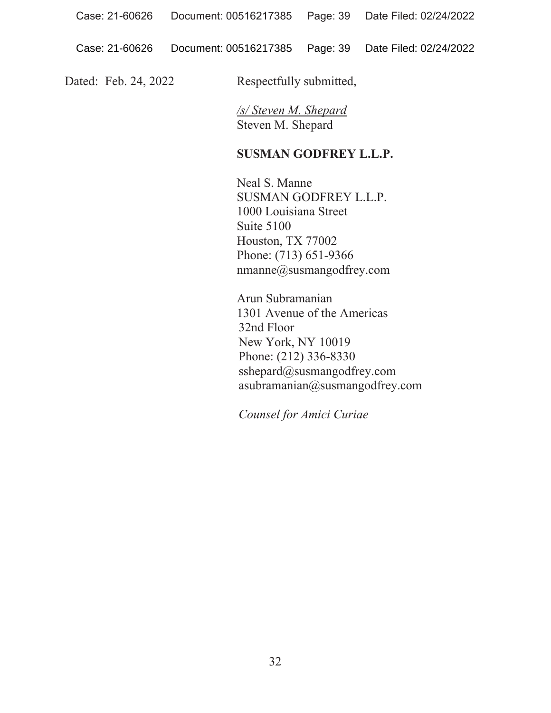Dated: Feb. 24, 2022 Respectfully submitted,

*/s/ Steven M. Shepard* Steven M. Shepard

### **SUSMAN GODFREY L.L.P.**

Neal S. Manne SUSMAN GODFREY L.L.P. 1000 Louisiana Street Suite  $5100$ Houston, TX 77002 Phone: (713) 651-9366 nmanne@susmangodfrey.com

Arun Subramanian 1301 Avenue of the Americas 32nd Floor New York, NY 10019 Phone: (212) 336-8330  $\text{sshe}$ pard $\omega$ susmangodfrey.com  $a$ subramanian $@$ susmangodfrey.com

*Counsel for Amici Curiae*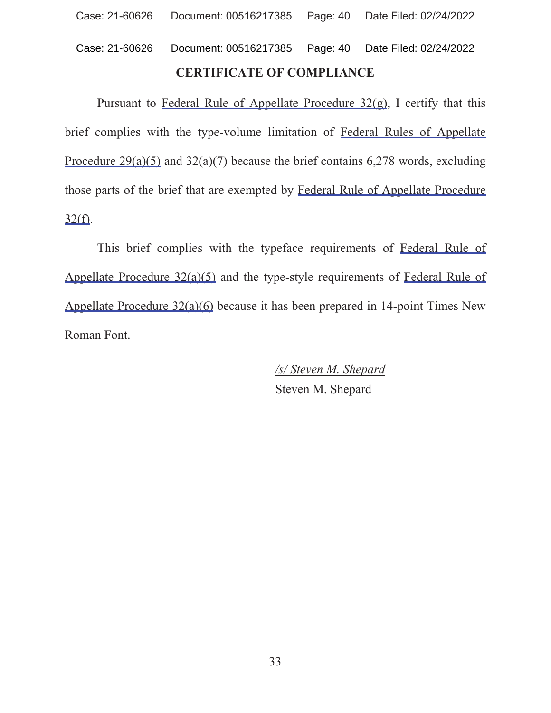# **CERTIFICATE OF COMPLIANCE** Case: 21-60626 Document: 00516217385 Page: 40 Date Filed: 02/24/2022

Pursuant to Federal Rule of Appellate Procedure  $32(\text{g})$ , I certify that this brief complies with the type-volume limitation of Federal Rules of Appellate Procedure  $29(a)(5)$  and  $32(a)(7)$  because the brief contains 6,278 words, excluding those parts of the brief that are exempted by Federal Rule of Appellate Procedure  $32(f)$ .

This brief complies with the typeface requirements of Federal Rule of Appellate Procedure  $32(a)(5)$  and the type-style requirements of Federal Rule of Appellate Procedure  $32(a)(6)$  because it has been prepared in 14-point Times New Roman Font.

> */s/ Steven M. Shepard* Steven M. Shepard